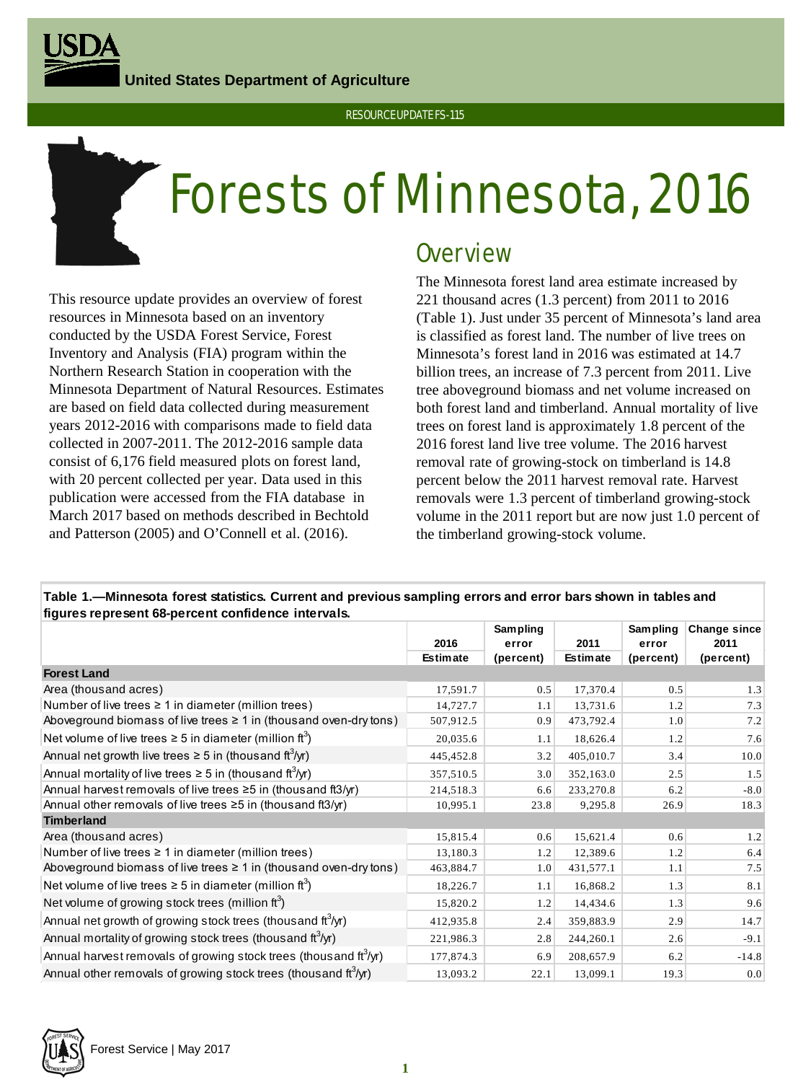**United States Department of Agriculture**



## RESOURCE UPDATE FS-115

# Forests of Minnesota, 2016

This resource update provides an overview of forest resources in Minnesota based on an inventory conducted by the USDA Forest Service, Forest Inventory and Analysis (FIA) program within the Northern Research Station in cooperation with the Minnesota Department of Natural Resources. Estimates are based on field data collected during measurement years 2012-2016 with comparisons made to field data collected in 2007-2011. The 2012-2016 sample data consist of 6,176 field measured plots on forest land, with 20 percent collected per year. Data used in this publication were accessed from the FIA database in March 2017 based on methods described in Bechtold and Patterson (2005) and O'Connell et al. (2016).

## **Overview**

The Minnesota forest land area estimate increased by 221 thousand acres (1.3 percent) from 2011 to 2016 (Table 1). Just under 35 percent of Minnesota's land area is classified as forest land. The number of live trees on Minnesota's forest land in 2016 was estimated at 14.7 billion trees, an increase of 7.3 percent from 2011. Live tree aboveground biomass and net volume increased on both forest land and timberland. Annual mortality of live trees on forest land is approximately 1.8 percent of the 2016 forest land live tree volume. The 2016 harvest removal rate of growing-stock on timberland is 14.8 percent below the 2011 harvest removal rate. Harvest removals were 1.3 percent of timberland growing-stock volume in the 2011 report but are now just 1.0 percent of the timberland growing-stock volume.

| ngures represent co-percent connuence intervals.                              |                 |                 |                 |                 |              |  |  |
|-------------------------------------------------------------------------------|-----------------|-----------------|-----------------|-----------------|--------------|--|--|
|                                                                               |                 | <b>Sampling</b> |                 | <b>Sampling</b> | Change since |  |  |
|                                                                               | 2016            | error           | 2011            | error           | 2011         |  |  |
|                                                                               | <b>Estimate</b> | (percent)       | <b>Estimate</b> | (percent)       | (percent)    |  |  |
| <b>Forest Land</b>                                                            |                 |                 |                 |                 |              |  |  |
| Area (thousand acres)                                                         | 17,591.7        | 0.5             | 17,370.4        | 0.5             | 1.3          |  |  |
| Number of live trees $\geq 1$ in diameter (million trees)                     | 14,727.7        | 1.1             | 13,731.6        | 1.2             | 7.3          |  |  |
| Aboveground biomass of live trees $\geq 1$ in (thousand oven-dry tons)        | 507,912.5       | 0.9             | 473,792.4       | 1.0             | 7.2          |  |  |
| Net volume of live trees $\geq 5$ in diameter (million ft <sup>3</sup> )      | 20,035.6        | 1.1             | 18,626.4        | 1.2             | 7.6          |  |  |
| Annual net growth live trees $\geq$ 5 in (thous and ft <sup>3</sup> /yr)      | 445,452.8       | 3.2             | 405,010.7       | 3.4             | 10.0         |  |  |
| Annual mortality of live trees $\geq$ 5 in (thous and ft <sup>3</sup> /yr)    | 357,510.5       | 3.0             | 352,163.0       | 2.5             | 1.5          |  |  |
| Annual harvest removals of live trees $\geq$ 5 in (thous and ft3/yr)          | 214,518.3       | 6.6             | 233,270.8       | 6.2             | $-8.0$       |  |  |
| Annual other removals of live trees $\geq$ 5 in (thousand ft3/yr)             | 10,995.1        | 23.8            | 9,295.8         | 26.9            | 18.3         |  |  |
| <b>Timberland</b>                                                             |                 |                 |                 |                 |              |  |  |
| Area (thousand acres)                                                         | 15,815.4        | 0.6             | 15,621.4        | 0.6             | 1.2          |  |  |
| Number of live trees $\geq 1$ in diameter (million trees)                     | 13,180.3        | 1.2             | 12,389.6        | 1.2             | 6.4          |  |  |
| Aboveground biomass of live trees $\geq 1$ in (thousand oven-dry tons)        | 463,884.7       | 1.0             | 431,577.1       | 1.1             | 7.5          |  |  |
| Net volume of live trees $\geq$ 5 in diameter (million ft <sup>3</sup> )      | 18,226.7        | 1.1             | 16,868.2        | 1.3             | 8.1          |  |  |
| Net volume of growing stock trees (million $ft3$ )                            | 15,820.2        | 1.2             | 14,434.6        | 1.3             | 9.6          |  |  |
| Annual net growth of growing stock trees (thous and ft <sup>3</sup> /yr)      | 412,935.8       | 2.4             | 359,883.9       | 2.9             | 14.7         |  |  |
| Annual mortality of growing stock trees (thous and $\text{ft}^3/\text{yr}$ )  | 221,986.3       | 2.8             | 244,260.1       | 2.6             | $-9.1$       |  |  |
| Annual harvest removals of growing stock trees (thousand ft <sup>3</sup> /yr) | 177,874.3       | 6.9             | 208,657.9       | 6.2             | $-14.8$      |  |  |
| Annual other removals of growing stock trees (thous and ft <sup>3</sup> /yr)  | 13,093.2        | 22.1            | 13,099.1        | 19.3            | 0.0          |  |  |

## **Table 1.—Minnesota forest statistics. Current and previous sampling errors and error bars shown in tables and figures represent 68-percent confidence intervals.**

Forest Service | May 2017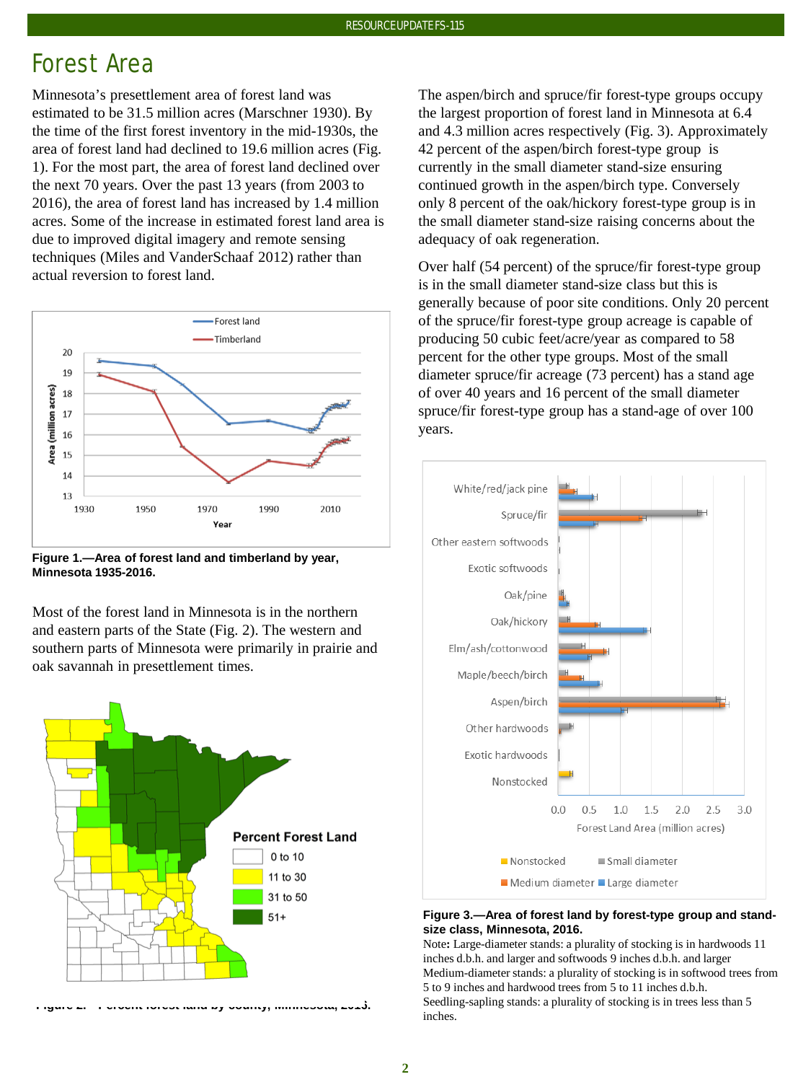# Forest Area

Minnesota's presettlement area of forest land was estimated to be 31.5 million acres (Marschner 1930). By the time of the first forest inventory in the mid-1930s, the area of forest land had declined to 19.6 million acres (Fig. 1). For the most part, the area of forest land declined over the next 70 years. Over the past 13 years (from 2003 to 2016), the area of forest land has increased by 1.4 million acres. Some of the increase in estimated forest land area is due to improved digital imagery and remote sensing techniques (Miles and VanderSchaaf 2012) rather than actual reversion to forest land.



**Figure 1.—Area of forest land and timberland by year, Minnesota 1935-2016.**

Most of the forest land in Minnesota is in the northern and eastern parts of the State (Fig. 2). The western and southern parts of Minnesota were primarily in prairie and oak savannah in presettlement times.



**Figure 2.—Percent forest land by county, Minnesota, 2016.**

The aspen/birch and spruce/fir forest-type groups occupy the largest proportion of forest land in Minnesota at 6.4 and 4.3 million acres respectively (Fig. 3). Approximately 42 percent of the aspen/birch forest-type group is currently in the small diameter stand-size ensuring continued growth in the aspen/birch type. Conversely only 8 percent of the oak/hickory forest-type group is in the small diameter stand-size raising concerns about the adequacy of oak regeneration.

Over half (54 percent) of the spruce/fir forest-type group is in the small diameter stand-size class but this is generally because of poor site conditions. Only 20 percent of the spruce/fir forest-type group acreage is capable of producing 50 cubic feet/acre/year as compared to 58 percent for the other type groups. Most of the small diameter spruce/fir acreage (73 percent) has a stand age of over 40 years and 16 percent of the small diameter spruce/fir forest-type group has a stand-age of over 100 years.



#### **Figure 3.—Area of forest land by forest-type group and standsize class, Minnesota, 2016.**

Note**:** Large-diameter stands: a plurality of stocking is in hardwoods 11 inches d.b.h. and larger and softwoods 9 inches d.b.h. and larger Medium-diameter stands: a plurality of stocking is in softwood trees from 5 to 9 inches and hardwood trees from 5 to 11 inches d.b.h. Seedling-sapling stands: a plurality of stocking is in trees less than 5 inches.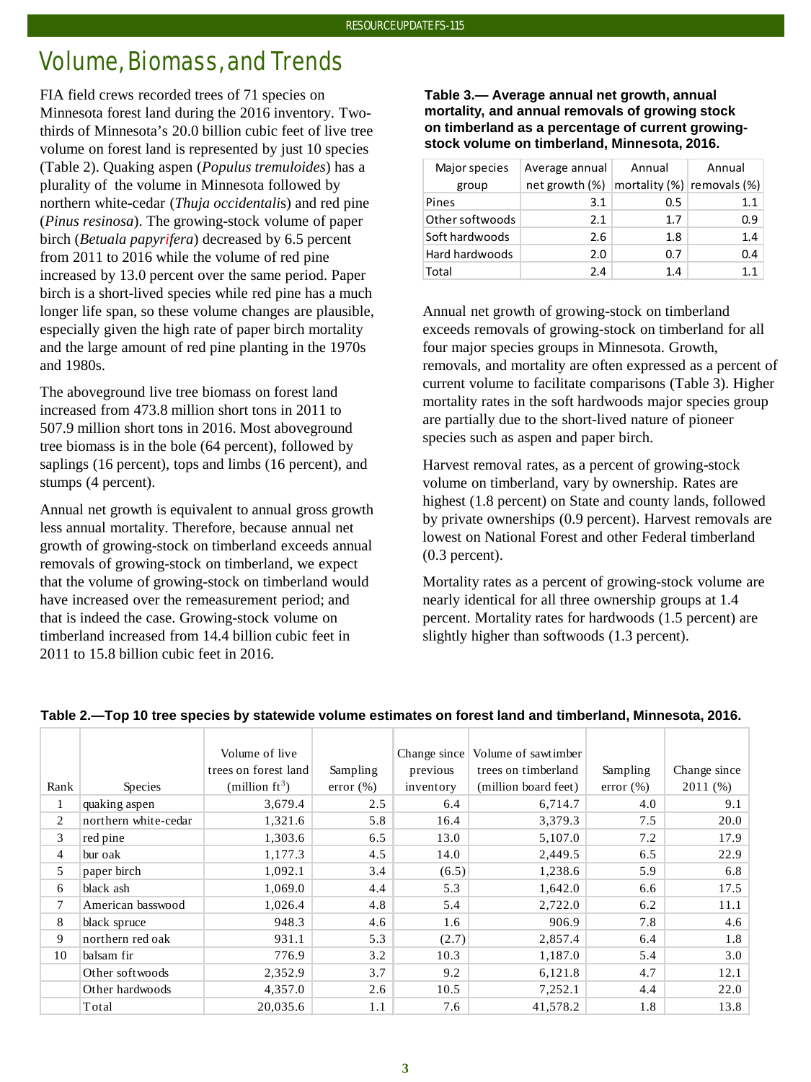# Volume, Biomass, and Trends

FIA field crews recorded trees of 71 species on Minnesota forest land during the 2016 inventory. Twothirds of Minnesota's 20.0 billion cubic feet of live tree volume on forest land is represented by just 10 species (Table 2). Quaking aspen (*Populus tremuloides*) has a plurality of the volume in Minnesota followed by northern white-cedar (*Thuja occidentali*s) and red pine (*Pinus resinosa*). The growing-stock volume of paper birch (*Betuala papyrifera*) decreased by 6.5 percent from 2011 to 2016 while the volume of red pine increased by 13.0 percent over the same period. Paper birch is a short-lived species while red pine has a much longer life span, so these volume changes are plausible, especially given the high rate of paper birch mortality and the large amount of red pine planting in the 1970s and 1980s.

The aboveground live tree biomass on forest land increased from 473.8 million short tons in 2011 to 507.9 million short tons in 2016. Most aboveground tree biomass is in the bole (64 percent), followed by saplings (16 percent), tops and limbs (16 percent), and stumps (4 percent).

Annual net growth is equivalent to annual gross growth less annual mortality. Therefore, because annual net growth of growing-stock on timberland exceeds annual removals of growing-stock on timberland, we expect that the volume of growing-stock on timberland would have increased over the remeasurement period; and that is indeed the case. Growing-stock volume on timberland increased from 14.4 billion cubic feet in 2011 to 15.8 billion cubic feet in 2016.

## **Table 3.— Average annual net growth, annual mortality, and annual removals of growing stock on timberland as a percentage of current growingstock volume on timberland, Minnesota, 2016.**

| Major species   | Average annual | Annual | Annual                           |  |
|-----------------|----------------|--------|----------------------------------|--|
| group           | net growth (%) |        | mortality $(\%)$ removals $(\%)$ |  |
| Pines           | 3.1            | 0.5    | 1.1                              |  |
| Other softwoods | 2.1            | 1.7    | 0.9                              |  |
| Soft hardwoods  | 2.6            | 1.8    | 1.4                              |  |
| Hard hardwoods  | 2.0            | 0.7    | 0.4                              |  |
| Total           | 2.4            | 1.4    | 11                               |  |

Annual net growth of growing-stock on timberland exceeds removals of growing-stock on timberland for all four major species groups in Minnesota. Growth, removals, and mortality are often expressed as a percent of current volume to facilitate comparisons (Table 3). Higher mortality rates in the soft hardwoods major species group are partially due to the short-lived nature of pioneer species such as aspen and paper birch.

Harvest removal rates, as a percent of growing-stock volume on timberland, vary by ownership. Rates are highest  $(1.8$  percent) on State and county lands, followed by private ownerships (0.9 percent). Harvest removals are lowest on National Forest and other Federal timberland (0.3 percent).

Mortality rates as a percent of growing-stock volume are nearly identical for all three ownership groups at 1.4 percent. Mortality rates for hardwoods (1.5 percent) are slightly higher than softwoods (1.3 percent).

|                |                      | Volume of live       |              | Change since | Volume of sawtimber  |               |              |
|----------------|----------------------|----------------------|--------------|--------------|----------------------|---------------|--------------|
|                |                      |                      |              |              |                      |               |              |
|                |                      | trees on forest land | Sampling     | previous     | trees on timberland  | Sampling      | Change since |
| Rank           | Species              | (million $ft^3$ )    | $error (\%)$ | inventory    | (million board feet) | error $(\% )$ | 2011(%)      |
| $\perp$        | quaking aspen        | 3,679.4              | 2.5          | 6.4          | 6,714.7              | 4.0           | 9.1          |
| 2              | northern white-cedar | 1,321.6              | 5.8          | 16.4         | 3,379.3              | 7.5           | 20.0         |
| 3              | red pine             | 1,303.6              | 6.5          | 13.0         | 5,107.0              | 7.2           | 17.9         |
| $\overline{4}$ | bur oak              | 1,177.3              | 4.5          | 14.0         | 2,449.5              | 6.5           | 22.9         |
| 5              | paper birch          | 1,092.1              | 3.4          | (6.5)        | 1,238.6              | 5.9           | 6.8          |
| 6              | black ash            | 1,069.0              | 4.4          | 5.3          | 1,642.0              | 6.6           | 17.5         |
| $\tau$         | American basswood    | 1,026.4              | 4.8          | 5.4          | 2,722.0              | 6.2           | 11.1         |
| 8              | black spruce         | 948.3                | 4.6          | 1.6          | 906.9                | 7.8           | 4.6          |
| 9              | northern red oak     | 931.1                | 5.3          | (2.7)        | 2,857.4              | 6.4           | 1.8          |
| 10             | balsam fir           | 776.9                | 3.2          | 10.3         | 1,187.0              | 5.4           | 3.0          |
|                | Other softwoods      | 2,352.9              | 3.7          | 9.2          | 6,121.8              | 4.7           | 12.1         |
|                | Other hardwoods      | 4,357.0              | 2.6          | 10.5         | 7,252.1              | 4.4           | 22.0         |
|                | Total                | 20,035.6             | 1.1          | 7.6          | 41,578.2             | 1.8           | 13.8         |

## **Table 2.—Top 10 tree species by statewide volume estimates on forest land and timberland, Minnesota, 2016.**